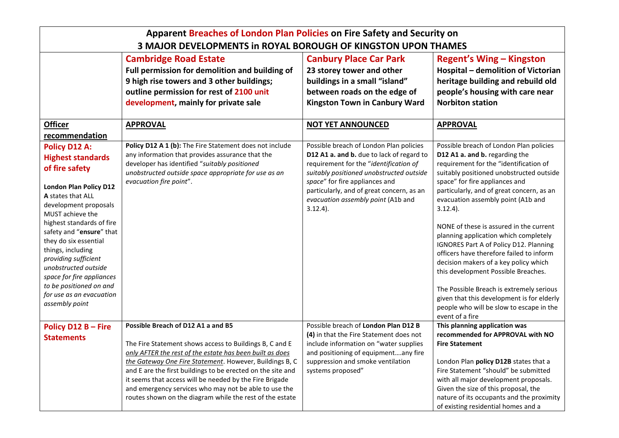| Apparent Breaches of London Plan Policies on Fire Safety and Security on                                                                                                                                                                                                                                                                                                                                                           |                                                                                                                                                                                                                                                                                                                                                                                                                                                                     |                                                                                                                                                                                                                                                                                                                |                                                                                                                                                                                                                                                                                                                                                                                                                                                                                                                                                                                                                                                                                                                        |  |  |  |
|------------------------------------------------------------------------------------------------------------------------------------------------------------------------------------------------------------------------------------------------------------------------------------------------------------------------------------------------------------------------------------------------------------------------------------|---------------------------------------------------------------------------------------------------------------------------------------------------------------------------------------------------------------------------------------------------------------------------------------------------------------------------------------------------------------------------------------------------------------------------------------------------------------------|----------------------------------------------------------------------------------------------------------------------------------------------------------------------------------------------------------------------------------------------------------------------------------------------------------------|------------------------------------------------------------------------------------------------------------------------------------------------------------------------------------------------------------------------------------------------------------------------------------------------------------------------------------------------------------------------------------------------------------------------------------------------------------------------------------------------------------------------------------------------------------------------------------------------------------------------------------------------------------------------------------------------------------------------|--|--|--|
| 3 MAJOR DEVELOPMENTS in ROYAL BOROUGH OF KINGSTON UPON THAMES                                                                                                                                                                                                                                                                                                                                                                      |                                                                                                                                                                                                                                                                                                                                                                                                                                                                     |                                                                                                                                                                                                                                                                                                                |                                                                                                                                                                                                                                                                                                                                                                                                                                                                                                                                                                                                                                                                                                                        |  |  |  |
|                                                                                                                                                                                                                                                                                                                                                                                                                                    | <b>Cambridge Road Estate</b><br>Full permission for demolition and building of<br>9 high rise towers and 3 other buildings;<br>outline permission for rest of 2100 unit                                                                                                                                                                                                                                                                                             | <b>Canbury Place Car Park</b><br>23 storey tower and other<br>buildings in a small "island"<br>between roads on the edge of                                                                                                                                                                                    | <b>Regent's Wing - Kingston</b><br>Hospital - demolition of Victorian<br>heritage building and rebuild old<br>people's housing with care near                                                                                                                                                                                                                                                                                                                                                                                                                                                                                                                                                                          |  |  |  |
|                                                                                                                                                                                                                                                                                                                                                                                                                                    | development, mainly for private sale                                                                                                                                                                                                                                                                                                                                                                                                                                | <b>Kingston Town in Canbury Ward</b>                                                                                                                                                                                                                                                                           | <b>Norbiton station</b>                                                                                                                                                                                                                                                                                                                                                                                                                                                                                                                                                                                                                                                                                                |  |  |  |
| <b>Officer</b>                                                                                                                                                                                                                                                                                                                                                                                                                     | <b>APPROVAL</b>                                                                                                                                                                                                                                                                                                                                                                                                                                                     | <b>NOT YET ANNOUNCED</b>                                                                                                                                                                                                                                                                                       | <b>APPROVAL</b>                                                                                                                                                                                                                                                                                                                                                                                                                                                                                                                                                                                                                                                                                                        |  |  |  |
| recommendation                                                                                                                                                                                                                                                                                                                                                                                                                     |                                                                                                                                                                                                                                                                                                                                                                                                                                                                     |                                                                                                                                                                                                                                                                                                                |                                                                                                                                                                                                                                                                                                                                                                                                                                                                                                                                                                                                                                                                                                                        |  |  |  |
| <b>Policy D12 A:</b><br><b>Highest standards</b><br>of fire safety<br><b>London Plan Policy D12</b><br>A states that ALL<br>development proposals<br>MUST achieve the<br>highest standards of fire<br>safety and "ensure" that<br>they do six essential<br>things, including<br>providing sufficient<br>unobstructed outside<br>space for fire appliances<br>to be positioned on and<br>for use as an evacuation<br>assembly point | Policy D12 A 1 (b): The Fire Statement does not include<br>any information that provides assurance that the<br>developer has identified "suitably positioned<br>unobstructed outside space appropriate for use as an<br>evacuation fire point".                                                                                                                                                                                                                     | Possible breach of London Plan policies<br>D12 A1 a. and b. due to lack of regard to<br>requirement for the "identification of<br>suitably positioned unobstructed outside<br>space" for fire appliances and<br>particularly, and of great concern, as an<br>evacuation assembly point (A1b and<br>$3.12.4$ ). | Possible breach of London Plan policies<br>D12 A1 a. and b. regarding the<br>requirement for the "identification of<br>suitably positioned unobstructed outside<br>space" for fire appliances and<br>particularly, and of great concern, as an<br>evacuation assembly point (A1b and<br>$3.12.4$ ).<br>NONE of these is assured in the current<br>planning application which completely<br>IGNORES Part A of Policy D12. Planning<br>officers have therefore failed to inform<br>decision makers of a key policy which<br>this development Possible Breaches.<br>The Possible Breach is extremely serious<br>given that this development is for elderly<br>people who will be slow to escape in the<br>event of a fire |  |  |  |
| Policy D12 B - Fire<br><b>Statements</b>                                                                                                                                                                                                                                                                                                                                                                                           | Possible Breach of D12 A1 a and B5<br>The Fire Statement shows access to Buildings B, C and E<br>only AFTER the rest of the estate has been built as does<br>the Gateway One Fire Statement. However, Buildings B, C<br>and E are the first buildings to be erected on the site and<br>it seems that access will be needed by the Fire Brigade<br>and emergency services who may not be able to use the<br>routes shown on the diagram while the rest of the estate | Possible breach of London Plan D12 B<br>(4) in that the Fire Statement does not<br>include information on "water supplies<br>and positioning of equipmentany fire<br>suppression and smoke ventilation<br>systems proposed"                                                                                    | This planning application was<br>recommended for APPROVAL with NO<br><b>Fire Statement</b><br>London Plan policy D12B states that a<br>Fire Statement "should" be submitted<br>with all major development proposals.<br>Given the size of this proposal, the<br>nature of its occupants and the proximity<br>of existing residential homes and a                                                                                                                                                                                                                                                                                                                                                                       |  |  |  |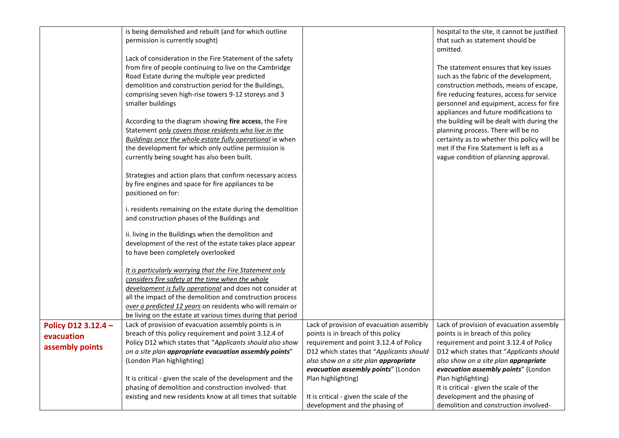|                                                      | is being demolished and rebuilt (and for which outline<br>permission is currently sought)<br>Lack of consideration in the Fire Statement of the safety<br>from fire of people continuing to live on the Cambridge<br>Road Estate during the multiple year predicted<br>demolition and construction period for the Buildings,<br>comprising seven high-rise towers 9-12 storeys and 3<br>smaller buildings<br>According to the diagram showing fire access, the Fire<br>Statement only covers those residents who live in the<br>Buildings once the whole estate fully operational ie when<br>the development for which only outline permission is<br>currently being sought has also been built.<br>Strategies and action plans that confirm necessary access<br>by fire engines and space for fire appliances to be<br>positioned on for:<br>i. residents remaining on the estate during the demolition<br>and construction phases of the Buildings and<br>ii. living in the Buildings when the demolition and<br>development of the rest of the estate takes place appear<br>to have been completely overlooked<br>It is particularly worrying that the Fire Statement only<br>considers fire safety at the time when the whole<br>development is fully operational and does not consider at<br>all the impact of the demolition and construction process<br>over a predicted 12 years on residents who will remain or<br>be living on the estate at various times during that period |                                                                                                                                                                                                                                                                                                                                                        | hospital to the site, it cannot be justified<br>that such as statement should be<br>omitted.<br>The statement ensures that key issues<br>such as the fabric of the development,<br>construction methods, means of escape,<br>fire reducing features, access for service<br>personnel and equipment, access for fire<br>appliances and future modifications to<br>the building will be dealt with during the<br>planning process. There will be no<br>certainty as to whether this policy will be<br>met if the Fire Statement is left as a<br>vague condition of planning approval. |
|------------------------------------------------------|-----------------------------------------------------------------------------------------------------------------------------------------------------------------------------------------------------------------------------------------------------------------------------------------------------------------------------------------------------------------------------------------------------------------------------------------------------------------------------------------------------------------------------------------------------------------------------------------------------------------------------------------------------------------------------------------------------------------------------------------------------------------------------------------------------------------------------------------------------------------------------------------------------------------------------------------------------------------------------------------------------------------------------------------------------------------------------------------------------------------------------------------------------------------------------------------------------------------------------------------------------------------------------------------------------------------------------------------------------------------------------------------------------------------------------------------------------------------------------------------|--------------------------------------------------------------------------------------------------------------------------------------------------------------------------------------------------------------------------------------------------------------------------------------------------------------------------------------------------------|-------------------------------------------------------------------------------------------------------------------------------------------------------------------------------------------------------------------------------------------------------------------------------------------------------------------------------------------------------------------------------------------------------------------------------------------------------------------------------------------------------------------------------------------------------------------------------------|
| Policy D12 3.12.4 -<br>evacuation<br>assembly points | Lack of provision of evacuation assembly points is in<br>breach of this policy requirement and point 3.12.4 of<br>Policy D12 which states that "Applicants should also show<br>on a site plan appropriate evacuation assembly points"<br>(London Plan highlighting)<br>It is critical - given the scale of the development and the<br>phasing of demolition and construction involved-that<br>existing and new residents know at all times that suitable                                                                                                                                                                                                                                                                                                                                                                                                                                                                                                                                                                                                                                                                                                                                                                                                                                                                                                                                                                                                                                | Lack of provision of evacuation assembly<br>points is in breach of this policy<br>requirement and point 3.12.4 of Policy<br>D12 which states that "Applicants should<br>also show on a site plan appropriate<br>evacuation assembly points" (London<br>Plan highlighting)<br>It is critical - given the scale of the<br>development and the phasing of | Lack of provision of evacuation assembly<br>points is in breach of this policy<br>requirement and point 3.12.4 of Policy<br>D12 which states that "Applicants should<br>also show on a site plan appropriate<br>evacuation assembly points" (London<br>Plan highlighting)<br>It is critical - given the scale of the<br>development and the phasing of<br>demolition and construction involved-                                                                                                                                                                                     |